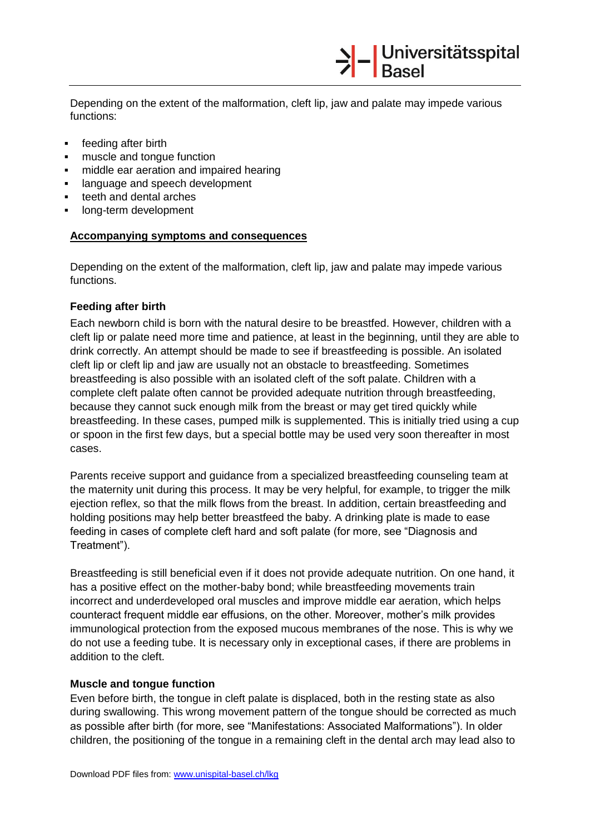Depending on the extent of the malformation, cleft lip, jaw and palate may impede various functions:

>|-<br>Basel

- **feeding after birth**
- muscle and tongue function
- $\blacksquare$  middle ear aeration and impaired hearing
- language and speech development
- **teeth and dental arches**
- long-term development

## **Accompanying symptoms and consequences**

Depending on the extent of the malformation, cleft lip, jaw and palate may impede various functions.

## **Feeding after birth**

Each newborn child is born with the natural desire to be breastfed. However, children with a cleft lip or palate need more time and patience, at least in the beginning, until they are able to drink correctly. An attempt should be made to see if breastfeeding is possible. An isolated cleft lip or cleft lip and jaw are usually not an obstacle to breastfeeding. Sometimes breastfeeding is also possible with an isolated cleft of the soft palate. Children with a complete cleft palate often cannot be provided adequate nutrition through breastfeeding, because they cannot suck enough milk from the breast or may get tired quickly while breastfeeding. In these cases, pumped milk is supplemented. This is initially tried using a cup or spoon in the first few days, but a special bottle may be used very soon thereafter in most cases.

Parents receive support and guidance from a specialized breastfeeding counseling team at the maternity unit during this process. It may be very helpful, for example, to trigger the milk ejection reflex, so that the milk flows from the breast. In addition, certain breastfeeding and holding positions may help better breastfeed the baby. A drinking plate is made to ease feeding in cases of complete cleft hard and soft palate (for more, see "Diagnosis and Treatment").

Breastfeeding is still beneficial even if it does not provide adequate nutrition. On one hand, it has a positive effect on the mother-baby bond; while breastfeeding movements train incorrect and underdeveloped oral muscles and improve middle ear aeration, which helps counteract frequent middle ear effusions, on the other. Moreover, mother's milk provides immunological protection from the exposed mucous membranes of the nose. This is why we do not use a feeding tube. It is necessary only in exceptional cases, if there are problems in addition to the cleft.

## **Muscle and tongue function**

Even before birth, the tongue in cleft palate is displaced, both in the resting state as also during swallowing. This wrong movement pattern of the tongue should be corrected as much as possible after birth (for more, see "Manifestations: Associated Malformations"). In older children, the positioning of the tongue in a remaining cleft in the dental arch may lead also to